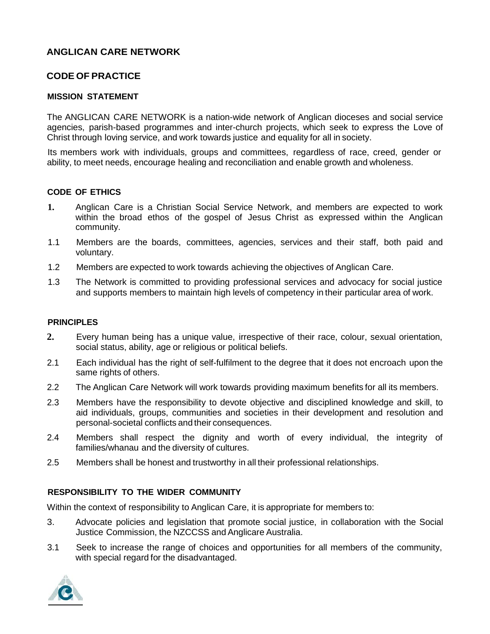# **ANGLICAN CARE NETWORK**

## **CODE OF PRACTICE**

#### **MISSION STATEMENT**

The ANGLICAN CARE NETWORK is a nation-wide network of Anglican dioceses and social service agencies, parish-based programmes and inter-church projects, which seek to express the Love of Christ through loving service, and work towards justice and equality for all in society.

Its members work with individuals, groups and committees, regardless of race, creed, gender or ability, to meet needs, encourage healing and reconciliation and enable growth and wholeness.

### **CODE OF ETHICS**

- **1.** Anglican Care is a Christian Social Service Network, and members are expected to work within the broad ethos of the gospel of Jesus Christ as expressed within the Anglican community.
- 1.1 Members are the boards, committees, agencies, services and their staff, both paid and voluntary.
- 1.2 Members are expected to work towards achieving the objectives of Anglican Care.
- 1.3 The Network is committed to providing professional services and advocacy for social justice and supports members to maintain high levels of competency in their particular area of work.

#### **PRINCIPLES**

- **2.** Every human being has a unique value, irrespective of their race, colour, sexual orientation, social status, ability, age or religious or political beliefs.
- 2.1 Each individual has the right of self-fulfilment to the degree that it does not encroach upon the same rights of others.
- 2.2 The Anglican Care Network will work towards providing maximum benefits for all its members.
- 2.3 Members have the responsibility to devote objective and disciplined knowledge and skill, to aid individuals, groups, communities and societies in their development and resolution and personal-societal conflicts and their consequences.
- 2.4 Members shall respect the dignity and worth of every individual, the integrity of families/whanau and the diversity of cultures.
- 2.5 Members shall be honest and trustworthy in all their professional relationships.

#### **RESPONSIBILITY TO THE WIDER COMMUNITY**

Within the context of responsibility to Anglican Care, it is appropriate for members to:

- 3. Advocate policies and legislation that promote social justice, in collaboration with the Social Justice Commission, the NZCCSS and Anglicare Australia.
- 3.1 Seek to increase the range of choices and opportunities for all members of the community, with special regard for the disadvantaged.